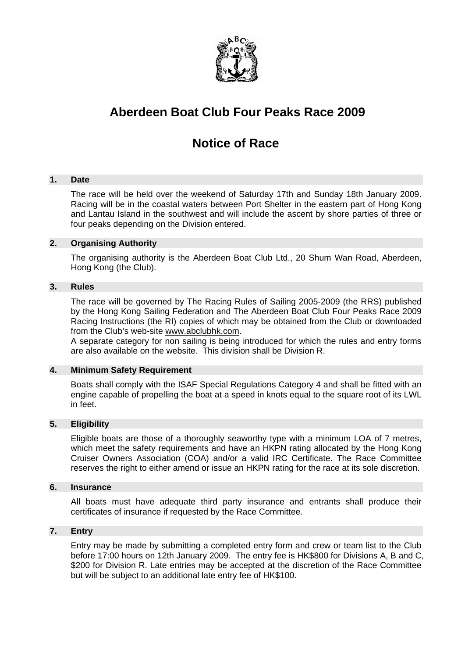

# **Aberdeen Boat Club Four Peaks Race 2009**

# **Notice of Race**

# **1. Date**

The race will be held over the weekend of Saturday 17th and Sunday 18th January 2009. Racing will be in the coastal waters between Port Shelter in the eastern part of Hong Kong and Lantau Island in the southwest and will include the ascent by shore parties of three or four peaks depending on the Division entered.

# **2. Organising Authority**

The organising authority is the Aberdeen Boat Club Ltd., 20 Shum Wan Road, Aberdeen, Hong Kong (the Club).

# **3. Rules**

The race will be governed by The Racing Rules of Sailing 2005-2009 (the RRS) published by the Hong Kong Sailing Federation and The Aberdeen Boat Club Four Peaks Race 2009 Racing Instructions (the RI) copies of which may be obtained from the Club or downloaded from the Club's web-site www.abclubhk.com.

A separate category for non sailing is being introduced for which the rules and entry forms are also available on the website. This division shall be Division R.

## **4. Minimum Safety Requirement**

Boats shall comply with the ISAF Special Regulations Category 4 and shall be fitted with an engine capable of propelling the boat at a speed in knots equal to the square root of its LWL in feet.

# **5. Eligibility**

Eligible boats are those of a thoroughly seaworthy type with a minimum LOA of 7 metres, which meet the safety requirements and have an HKPN rating allocated by the Hong Kong Cruiser Owners Association (COA) and/or a valid IRC Certificate. The Race Committee reserves the right to either amend or issue an HKPN rating for the race at its sole discretion.

# **6. Insurance**

All boats must have adequate third party insurance and entrants shall produce their certificates of insurance if requested by the Race Committee.

# **7. Entry**

Entry may be made by submitting a completed entry form and crew or team list to the Club before 17:00 hours on 12th January 2009. The entry fee is HK\$800 for Divisions A, B and C, \$200 for Division R. Late entries may be accepted at the discretion of the Race Committee but will be subject to an additional late entry fee of HK\$100.